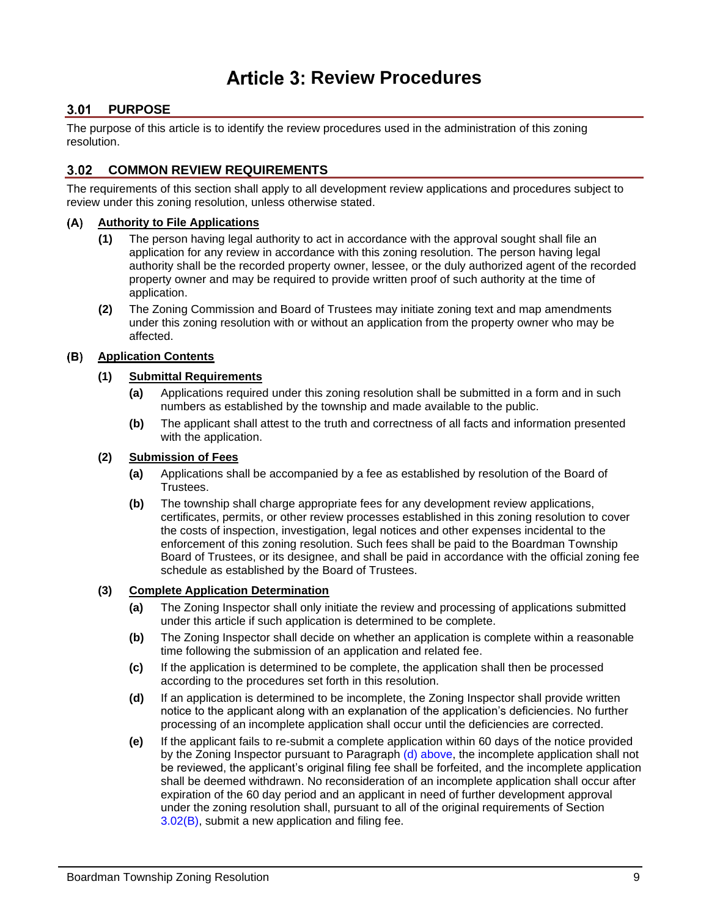# **Article 3: Review Procedures**

# **PURPOSE**

The purpose of this article is to identify the review procedures used in the administration of this zoning resolution.

# **COMMON REVIEW REQUIREMENTS**

The requirements of this section shall apply to all development review applications and procedures subject to review under this zoning resolution, unless otherwise stated.

#### **Authority to File Applications**  $(A)$

- **(1)** The person having legal authority to act in accordance with the approval sought shall file an application for any review in accordance with this zoning resolution. The person having legal authority shall be the recorded property owner, lessee, or the duly authorized agent of the recorded property owner and may be required to provide written proof of such authority at the time of application.
- **(2)** The Zoning Commission and Board of Trustees may initiate zoning text and map amendments under this zoning resolution with or without an application from the property owner who may be affected.

#### <span id="page-0-1"></span>**Application Contents**  $(B)$

#### **(1) Submittal Requirements**

- **(a)** Applications required under this zoning resolution shall be submitted in a form and in such numbers as established by the township and made available to the public.
- **(b)** The applicant shall attest to the truth and correctness of all facts and information presented with the application.

#### **(2) Submission of Fees**

- **(a)** Applications shall be accompanied by a fee as established by resolution of the Board of Trustees.
- **(b)** The township shall charge appropriate fees for any development review applications, certificates, permits, or other review processes established in this zoning resolution to cover the costs of inspection, investigation, legal notices and other expenses incidental to the enforcement of this zoning resolution. Such fees shall be paid to the Boardman Township Board of Trustees, or its designee, and shall be paid in accordance with the official zoning fee schedule as established by the Board of Trustees.

#### <span id="page-0-2"></span>**(3) Complete Application Determination**

- **(a)** The Zoning Inspector shall only initiate the review and processing of applications submitted under this article if such application is determined to be complete.
- **(b)** The Zoning Inspector shall decide on whether an application is complete within a reasonable time following the submission of an application and related fee.
- **(c)** If the application is determined to be complete, the application shall then be processed according to the procedures set forth in this resolution.
- <span id="page-0-0"></span>**(d)** If an application is determined to be incomplete, the Zoning Inspector shall provide written notice to the applicant along with an explanation of the application's deficiencies. No further processing of an incomplete application shall occur until the deficiencies are corrected.
- **(e)** If the applicant fails to re-submit a complete application within 60 days of the notice provided by the Zoning Inspector pursuant to Paragraph [\(d\) above,](#page-0-0) the incomplete application shall not be reviewed, the applicant's original filing fee shall be forfeited, and the incomplete application shall be deemed withdrawn. No reconsideration of an incomplete application shall occur after expiration of the 60 day period and an applicant in need of further development approval under the zoning resolution shall, pursuant to all of the original requirements of Section [3.02\(B\),](#page-0-1) submit a new application and filing fee.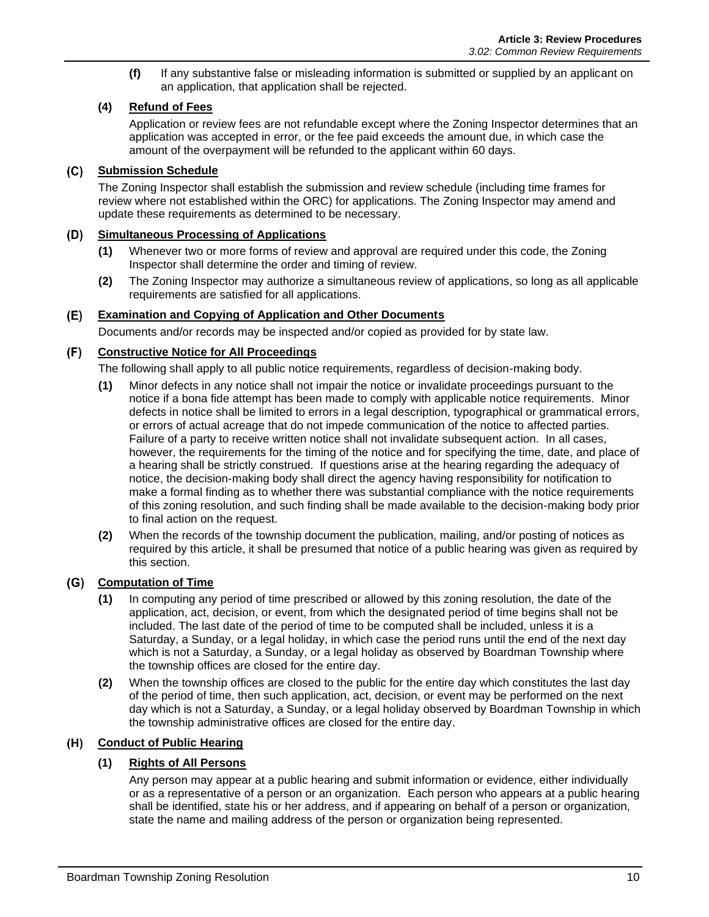**(f)** If any substantive false or misleading information is submitted or supplied by an applicant on an application, that application shall be rejected.

### **(4) Refund of Fees**

Application or review fees are not refundable except where the Zoning Inspector determines that an application was accepted in error, or the fee paid exceeds the amount due, in which case the amount of the overpayment will be refunded to the applicant within 60 days.

#### **Submission Schedule**

The Zoning Inspector shall establish the submission and review schedule (including time frames for review where not established within the ORC) for applications. The Zoning Inspector may amend and update these requirements as determined to be necessary.

### **Simultaneous Processing of Applications**

- **(1)** Whenever two or more forms of review and approval are required under this code, the Zoning Inspector shall determine the order and timing of review.
- **(2)** The Zoning Inspector may authorize a simultaneous review of applications, so long as all applicable requirements are satisfied for all applications.

#### $(E)$ **Examination and Copying of Application and Other Documents**

Documents and/or records may be inspected and/or copied as provided for by state law.

### **Constructive Notice for All Proceedings**

The following shall apply to all public notice requirements, regardless of decision-making body.

- **(1)** Minor defects in any notice shall not impair the notice or invalidate proceedings pursuant to the notice if a bona fide attempt has been made to comply with applicable notice requirements. Minor defects in notice shall be limited to errors in a legal description, typographical or grammatical errors, or errors of actual acreage that do not impede communication of the notice to affected parties. Failure of a party to receive written notice shall not invalidate subsequent action. In all cases, however, the requirements for the timing of the notice and for specifying the time, date, and place of a hearing shall be strictly construed. If questions arise at the hearing regarding the adequacy of notice, the decision-making body shall direct the agency having responsibility for notification to make a formal finding as to whether there was substantial compliance with the notice requirements of this zoning resolution, and such finding shall be made available to the decision-making body prior to final action on the request.
- **(2)** When the records of the township document the publication, mailing, and/or posting of notices as required by this article, it shall be presumed that notice of a public hearing was given as required by this section.

# **Computation of Time**

- **(1)** In computing any period of time prescribed or allowed by this zoning resolution, the date of the application, act, decision, or event, from which the designated period of time begins shall not be included. The last date of the period of time to be computed shall be included, unless it is a Saturday, a Sunday, or a legal holiday, in which case the period runs until the end of the next day which is not a Saturday, a Sunday, or a legal holiday as observed by Boardman Township where the township offices are closed for the entire day.
- **(2)** When the township offices are closed to the public for the entire day which constitutes the last day of the period of time, then such application, act, decision, or event may be performed on the next day which is not a Saturday, a Sunday, or a legal holiday observed by Boardman Township in which the township administrative offices are closed for the entire day.

# **Conduct of Public Hearing**

### **(1) Rights of All Persons**

Any person may appear at a public hearing and submit information or evidence, either individually or as a representative of a person or an organization. Each person who appears at a public hearing shall be identified, state his or her address, and if appearing on behalf of a person or organization, state the name and mailing address of the person or organization being represented.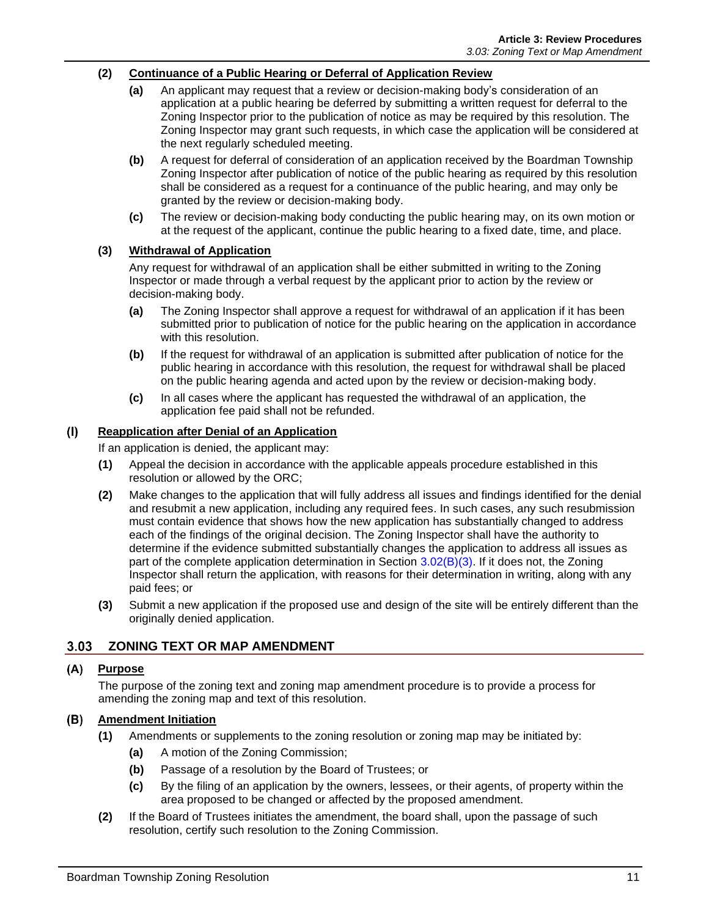#### **(2) Continuance of a Public Hearing or Deferral of Application Review**

- **(a)** An applicant may request that a review or decision-making body's consideration of an application at a public hearing be deferred by submitting a written request for deferral to the Zoning Inspector prior to the publication of notice as may be required by this resolution. The Zoning Inspector may grant such requests, in which case the application will be considered at the next regularly scheduled meeting.
- **(b)** A request for deferral of consideration of an application received by the Boardman Township Zoning Inspector after publication of notice of the public hearing as required by this resolution shall be considered as a request for a continuance of the public hearing, and may only be granted by the review or decision-making body.
- **(c)** The review or decision-making body conducting the public hearing may, on its own motion or at the request of the applicant, continue the public hearing to a fixed date, time, and place.

#### **(3) Withdrawal of Application**

Any request for withdrawal of an application shall be either submitted in writing to the Zoning Inspector or made through a verbal request by the applicant prior to action by the review or decision-making body.

- **(a)** The Zoning Inspector shall approve a request for withdrawal of an application if it has been submitted prior to publication of notice for the public hearing on the application in accordance with this resolution.
- **(b)** If the request for withdrawal of an application is submitted after publication of notice for the public hearing in accordance with this resolution, the request for withdrawal shall be placed on the public hearing agenda and acted upon by the review or decision-making body.
- **(c)** In all cases where the applicant has requested the withdrawal of an application, the application fee paid shall not be refunded.

#### $(1)$ **Reapplication after Denial of an Application**

If an application is denied, the applicant may:

- **(1)** Appeal the decision in accordance with the applicable appeals procedure established in this resolution or allowed by the ORC;
- **(2)** Make changes to the application that will fully address all issues and findings identified for the denial and resubmit a new application, including any required fees. In such cases, any such resubmission must contain evidence that shows how the new application has substantially changed to address each of the findings of the original decision. The Zoning Inspector shall have the authority to determine if the evidence submitted substantially changes the application to address all issues as part of the complete application determination in Section [3.02\(B\)\(3\).](#page-0-2) If it does not, the Zoning Inspector shall return the application, with reasons for their determination in writing, along with any paid fees; or
- **(3)** Submit a new application if the proposed use and design of the site will be entirely different than the originally denied application.

# **2.03 ZONING TEXT OR MAP AMENDMENT**

### **Purpose**

The purpose of the zoning text and zoning map amendment procedure is to provide a process for amending the zoning map and text of this resolution.

#### **Amendment Initiation**

- **(1)** Amendments or supplements to the zoning resolution or zoning map may be initiated by:
	- **(a)** A motion of the Zoning Commission;
	- **(b)** Passage of a resolution by the Board of Trustees; or
	- **(c)** By the filing of an application by the owners, lessees, or their agents, of property within the area proposed to be changed or affected by the proposed amendment.
- **(2)** If the Board of Trustees initiates the amendment, the board shall, upon the passage of such resolution, certify such resolution to the Zoning Commission.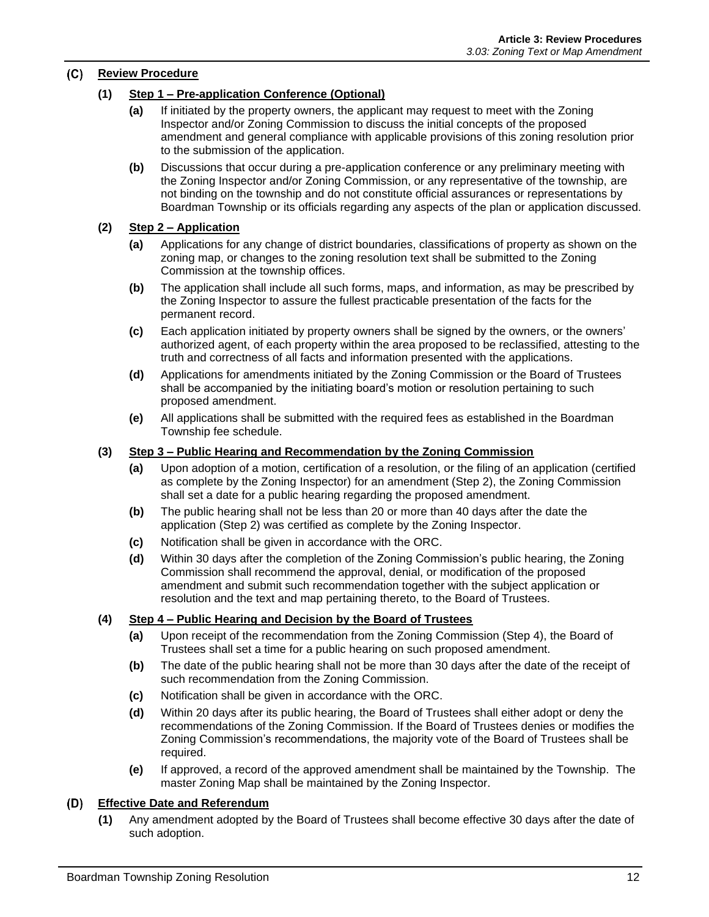#### **Review Procedure**

#### **(1) Step 1 – Pre-application Conference (Optional)**

- **(a)** If initiated by the property owners, the applicant may request to meet with the Zoning Inspector and/or Zoning Commission to discuss the initial concepts of the proposed amendment and general compliance with applicable provisions of this zoning resolution prior to the submission of the application.
- **(b)** Discussions that occur during a pre-application conference or any preliminary meeting with the Zoning Inspector and/or Zoning Commission, or any representative of the township, are not binding on the township and do not constitute official assurances or representations by Boardman Township or its officials regarding any aspects of the plan or application discussed.

#### **(2) Step 2 – Application**

- **(a)** Applications for any change of district boundaries, classifications of property as shown on the zoning map, or changes to the zoning resolution text shall be submitted to the Zoning Commission at the township offices.
- **(b)** The application shall include all such forms, maps, and information, as may be prescribed by the Zoning Inspector to assure the fullest practicable presentation of the facts for the permanent record.
- **(c)** Each application initiated by property owners shall be signed by the owners, or the owners' authorized agent, of each property within the area proposed to be reclassified, attesting to the truth and correctness of all facts and information presented with the applications.
- **(d)** Applications for amendments initiated by the Zoning Commission or the Board of Trustees shall be accompanied by the initiating board's motion or resolution pertaining to such proposed amendment.
- **(e)** All applications shall be submitted with the required fees as established in the Boardman Township fee schedule.

#### **(3) Step 3 – Public Hearing and Recommendation by the Zoning Commission**

- **(a)** Upon adoption of a motion, certification of a resolution, or the filing of an application (certified as complete by the Zoning Inspector) for an amendment (Step 2), the Zoning Commission shall set a date for a public hearing regarding the proposed amendment.
- **(b)** The public hearing shall not be less than 20 or more than 40 days after the date the application (Step 2) was certified as complete by the Zoning Inspector.
- **(c)** Notification shall be given in accordance with the ORC.
- **(d)** Within 30 days after the completion of the Zoning Commission's public hearing, the Zoning Commission shall recommend the approval, denial, or modification of the proposed amendment and submit such recommendation together with the subject application or resolution and the text and map pertaining thereto, to the Board of Trustees.

#### **(4) Step 4 – Public Hearing and Decision by the Board of Trustees**

- **(a)** Upon receipt of the recommendation from the Zoning Commission (Step 4), the Board of Trustees shall set a time for a public hearing on such proposed amendment.
- **(b)** The date of the public hearing shall not be more than 30 days after the date of the receipt of such recommendation from the Zoning Commission.
- **(c)** Notification shall be given in accordance with the ORC.
- **(d)** Within 20 days after its public hearing, the Board of Trustees shall either adopt or deny the recommendations of the Zoning Commission. If the Board of Trustees denies or modifies the Zoning Commission's recommendations, the majority vote of the Board of Trustees shall be required.
- **(e)** If approved, a record of the approved amendment shall be maintained by the Township. The master Zoning Map shall be maintained by the Zoning Inspector.

#### **Effective Date and Referendum**

**(1)** Any amendment adopted by the Board of Trustees shall become effective 30 days after the date of such adoption.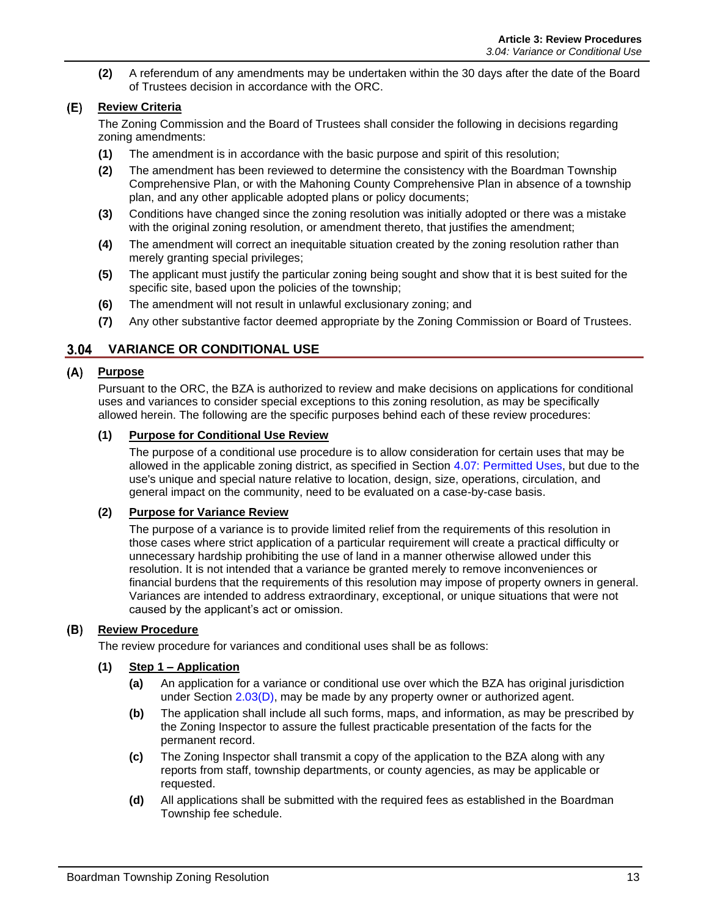**(2)** A referendum of any amendments may be undertaken within the 30 days after the date of the Board of Trustees decision in accordance with the ORC.

### **Review Criteria**

The Zoning Commission and the Board of Trustees shall consider the following in decisions regarding zoning amendments:

- **(1)** The amendment is in accordance with the basic purpose and spirit of this resolution;
- **(2)** The amendment has been reviewed to determine the consistency with the Boardman Township Comprehensive Plan, or with the Mahoning County Comprehensive Plan in absence of a township plan, and any other applicable adopted plans or policy documents;
- **(3)** Conditions have changed since the zoning resolution was initially adopted or there was a mistake with the original zoning resolution, or amendment thereto, that justifies the amendment;
- **(4)** The amendment will correct an inequitable situation created by the zoning resolution rather than merely granting special privileges;
- **(5)** The applicant must justify the particular zoning being sought and show that it is best suited for the specific site, based upon the policies of the township;
- **(6)** The amendment will not result in unlawful exclusionary zoning; and
- **(7)** Any other substantive factor deemed appropriate by the Zoning Commission or Board of Trustees.

### **VARIANCE OR CONDITIONAL USE**

#### **Purpose**

Pursuant to the ORC, the BZA is authorized to review and make decisions on applications for conditional uses and variances to consider special exceptions to this zoning resolution, as may be specifically allowed herein. The following are the specific purposes behind each of these review procedures:

#### **(1) Purpose for Conditional Use Review**

The purpose of a conditional use procedure is to allow consideration for certain uses that may be allowed in the applicable zoning district, as specified in Section 4.07: Permitted Uses, but due to the use's unique and special nature relative to location, design, size, operations, circulation, and general impact on the community, need to be evaluated on a case-by-case basis.

#### **(2) Purpose for Variance Review**

The purpose of a variance is to provide limited relief from the requirements of this resolution in those cases where strict application of a particular requirement will create a practical difficulty or unnecessary hardship prohibiting the use of land in a manner otherwise allowed under this resolution. It is not intended that a variance be granted merely to remove inconveniences or financial burdens that the requirements of this resolution may impose of property owners in general. Variances are intended to address extraordinary, exceptional, or unique situations that were not caused by the applicant's act or omission.

#### **(B)** Review Procedure

The review procedure for variances and conditional uses shall be as follows:

#### **(1) Step 1 – Application**

- **(a)** An application for a variance or conditional use over which the BZA has original jurisdiction under Section  $2.03(D)$ , may be made by any property owner or authorized agent.
- **(b)** The application shall include all such forms, maps, and information, as may be prescribed by the Zoning Inspector to assure the fullest practicable presentation of the facts for the permanent record.
- **(c)** The Zoning Inspector shall transmit a copy of the application to the BZA along with any reports from staff, township departments, or county agencies, as may be applicable or requested.
- **(d)** All applications shall be submitted with the required fees as established in the Boardman Township fee schedule.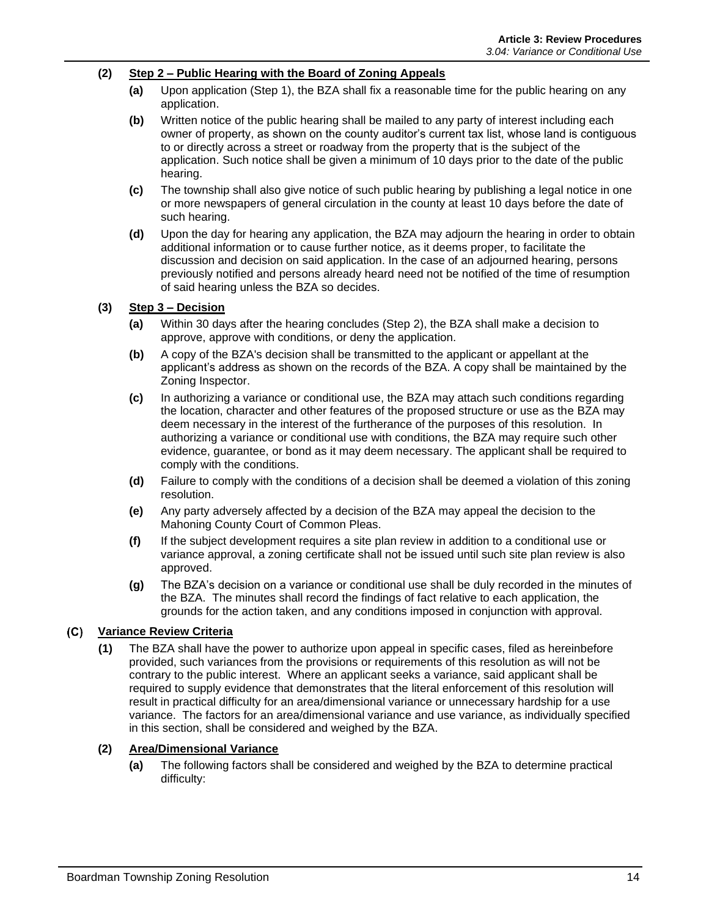#### **(2) Step 2 – Public Hearing with the Board of Zoning Appeals**

- **(a)** Upon application (Step 1), the BZA shall fix a reasonable time for the public hearing on any application.
- **(b)** Written notice of the public hearing shall be mailed to any party of interest including each owner of property, as shown on the county auditor's current tax list, whose land is contiguous to or directly across a street or roadway from the property that is the subject of the application. Such notice shall be given a minimum of 10 days prior to the date of the public hearing.
- **(c)** The township shall also give notice of such public hearing by publishing a legal notice in one or more newspapers of general circulation in the county at least 10 days before the date of such hearing.
- **(d)** Upon the day for hearing any application, the BZA may adjourn the hearing in order to obtain additional information or to cause further notice, as it deems proper, to facilitate the discussion and decision on said application. In the case of an adjourned hearing, persons previously notified and persons already heard need not be notified of the time of resumption of said hearing unless the BZA so decides.

#### **(3) Step 3 – Decision**

- **(a)** Within 30 days after the hearing concludes (Step 2), the BZA shall make a decision to approve, approve with conditions, or deny the application.
- **(b)** A copy of the BZA's decision shall be transmitted to the applicant or appellant at the applicant's address as shown on the records of the BZA. A copy shall be maintained by the Zoning Inspector.
- **(c)** In authorizing a variance or conditional use, the BZA may attach such conditions regarding the location, character and other features of the proposed structure or use as the BZA may deem necessary in the interest of the furtherance of the purposes of this resolution. In authorizing a variance or conditional use with conditions, the BZA may require such other evidence, guarantee, or bond as it may deem necessary. The applicant shall be required to comply with the conditions.
- **(d)** Failure to comply with the conditions of a decision shall be deemed a violation of this zoning resolution.
- **(e)** Any party adversely affected by a decision of the BZA may appeal the decision to the Mahoning County Court of Common Pleas.
- **(f)** If the subject development requires a site plan review in addition to a conditional use or variance approval, a zoning certificate shall not be issued until such site plan review is also approved.
- **(g)** The BZA's decision on a variance or conditional use shall be duly recorded in the minutes of the BZA. The minutes shall record the findings of fact relative to each application, the grounds for the action taken, and any conditions imposed in conjunction with approval.

#### **Variance Review Criteria**

**(1)** The BZA shall have the power to authorize upon appeal in specific cases, filed as hereinbefore provided, such variances from the provisions or requirements of this resolution as will not be contrary to the public interest. Where an applicant seeks a variance, said applicant shall be required to supply evidence that demonstrates that the literal enforcement of this resolution will result in practical difficulty for an area/dimensional variance or unnecessary hardship for a use variance. The factors for an area/dimensional variance and use variance, as individually specified in this section, shall be considered and weighed by the BZA.

#### **(2) Area/Dimensional Variance**

**(a)** The following factors shall be considered and weighed by the BZA to determine practical difficulty: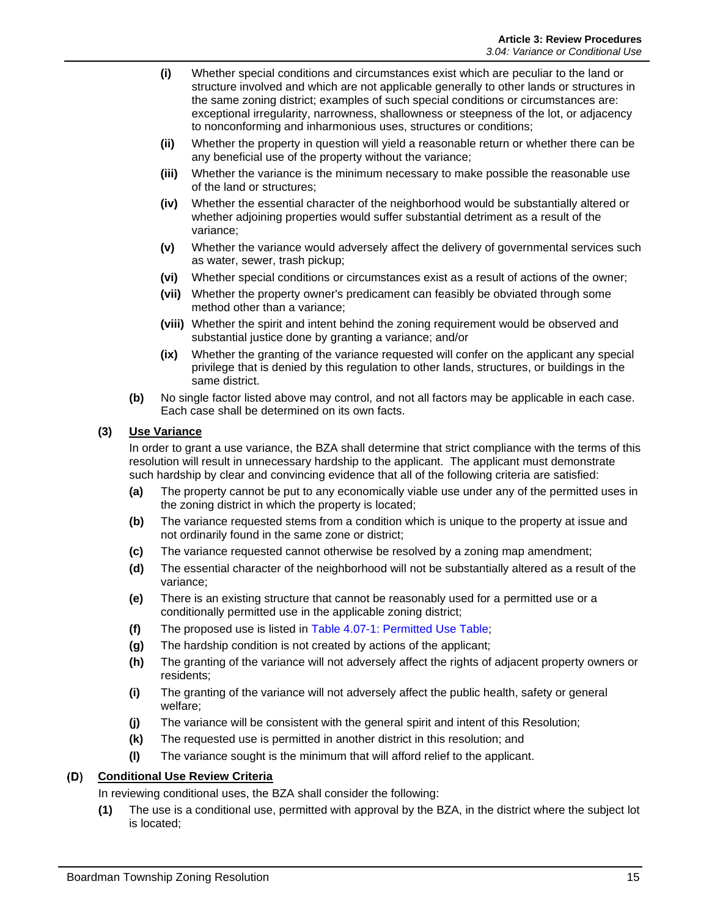- **(i)** Whether special conditions and circumstances exist which are peculiar to the land or structure involved and which are not applicable generally to other lands or structures in the same zoning district; examples of such special conditions or circumstances are: exceptional irregularity, narrowness, shallowness or steepness of the lot, or adjacency to nonconforming and inharmonious uses, structures or conditions;
- **(ii)** Whether the property in question will yield a reasonable return or whether there can be any beneficial use of the property without the variance;
- **(iii)** Whether the variance is the minimum necessary to make possible the reasonable use of the land or structures;
- **(iv)** Whether the essential character of the neighborhood would be substantially altered or whether adjoining properties would suffer substantial detriment as a result of the variance;
- **(v)** Whether the variance would adversely affect the delivery of governmental services such as water, sewer, trash pickup;
- **(vi)** Whether special conditions or circumstances exist as a result of actions of the owner;
- **(vii)** Whether the property owner's predicament can feasibly be obviated through some method other than a variance;
- **(viii)** Whether the spirit and intent behind the zoning requirement would be observed and substantial justice done by granting a variance; and/or
- **(ix)** Whether the granting of the variance requested will confer on the applicant any special privilege that is denied by this regulation to other lands, structures, or buildings in the same district.
- **(b)** No single factor listed above may control, and not all factors may be applicable in each case. Each case shall be determined on its own facts.

#### **(3) Use Variance**

In order to grant a use variance, the BZA shall determine that strict compliance with the terms of this resolution will result in unnecessary hardship to the applicant. The applicant must demonstrate such hardship by clear and convincing evidence that all of the following criteria are satisfied:

- **(a)** The property cannot be put to any economically viable use under any of the permitted uses in the zoning district in which the property is located;
- **(b)** The variance requested stems from a condition which is unique to the property at issue and not ordinarily found in the same zone or district;
- **(c)** The variance requested cannot otherwise be resolved by a zoning map amendment;
- **(d)** The essential character of the neighborhood will not be substantially altered as a result of the variance;
- **(e)** There is an existing structure that cannot be reasonably used for a permitted use or a conditionally permitted use in the applicable zoning district;
- **(f)** The proposed use is listed in Table 4.07-1: Permitted Use Table;
- **(g)** The hardship condition is not created by actions of the applicant;
- **(h)** The granting of the variance will not adversely affect the rights of adjacent property owners or residents;
- **(i)** The granting of the variance will not adversely affect the public health, safety or general welfare;
- **(j)** The variance will be consistent with the general spirit and intent of this Resolution;
- **(k)** The requested use is permitted in another district in this resolution; and
- **(l)** The variance sought is the minimum that will afford relief to the applicant.

#### **Conditional Use Review Criteria**

In reviewing conditional uses, the BZA shall consider the following:

**(1)** The use is a conditional use, permitted with approval by the BZA, in the district where the subject lot is located;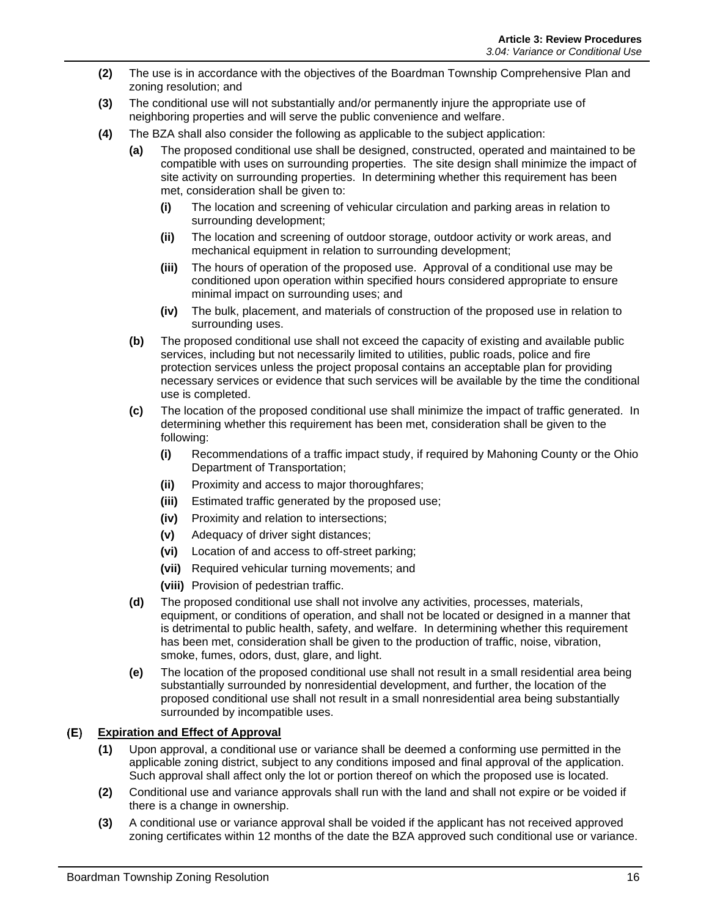- **(2)** The use is in accordance with the objectives of the Boardman Township Comprehensive Plan and zoning resolution; and
- **(3)** The conditional use will not substantially and/or permanently injure the appropriate use of neighboring properties and will serve the public convenience and welfare.
- **(4)** The BZA shall also consider the following as applicable to the subject application:
	- **(a)** The proposed conditional use shall be designed, constructed, operated and maintained to be compatible with uses on surrounding properties. The site design shall minimize the impact of site activity on surrounding properties. In determining whether this requirement has been met, consideration shall be given to:
		- **(i)** The location and screening of vehicular circulation and parking areas in relation to surrounding development;
		- **(ii)** The location and screening of outdoor storage, outdoor activity or work areas, and mechanical equipment in relation to surrounding development:
		- **(iii)** The hours of operation of the proposed use. Approval of a conditional use may be conditioned upon operation within specified hours considered appropriate to ensure minimal impact on surrounding uses; and
		- **(iv)** The bulk, placement, and materials of construction of the proposed use in relation to surrounding uses.
	- **(b)** The proposed conditional use shall not exceed the capacity of existing and available public services, including but not necessarily limited to utilities, public roads, police and fire protection services unless the project proposal contains an acceptable plan for providing necessary services or evidence that such services will be available by the time the conditional use is completed.
	- **(c)** The location of the proposed conditional use shall minimize the impact of traffic generated. In determining whether this requirement has been met, consideration shall be given to the following:
		- **(i)** Recommendations of a traffic impact study, if required by Mahoning County or the Ohio Department of Transportation;
		- **(ii)** Proximity and access to major thoroughfares;
		- **(iii)** Estimated traffic generated by the proposed use;
		- **(iv)** Proximity and relation to intersections;
		- **(v)** Adequacy of driver sight distances;
		- **(vi)** Location of and access to off-street parking;
		- **(vii)** Required vehicular turning movements; and
		- **(viii)** Provision of pedestrian traffic.
	- **(d)** The proposed conditional use shall not involve any activities, processes, materials, equipment, or conditions of operation, and shall not be located or designed in a manner that is detrimental to public health, safety, and welfare. In determining whether this requirement has been met, consideration shall be given to the production of traffic, noise, vibration, smoke, fumes, odors, dust, glare, and light.
	- **(e)** The location of the proposed conditional use shall not result in a small residential area being substantially surrounded by nonresidential development, and further, the location of the proposed conditional use shall not result in a small nonresidential area being substantially surrounded by incompatible uses.

#### **Expiration and Effect of Approval**

- **(1)** Upon approval, a conditional use or variance shall be deemed a conforming use permitted in the applicable zoning district, subject to any conditions imposed and final approval of the application. Such approval shall affect only the lot or portion thereof on which the proposed use is located.
- **(2)** Conditional use and variance approvals shall run with the land and shall not expire or be voided if there is a change in ownership.
- **(3)** A conditional use or variance approval shall be voided if the applicant has not received approved zoning certificates within 12 months of the date the BZA approved such conditional use or variance.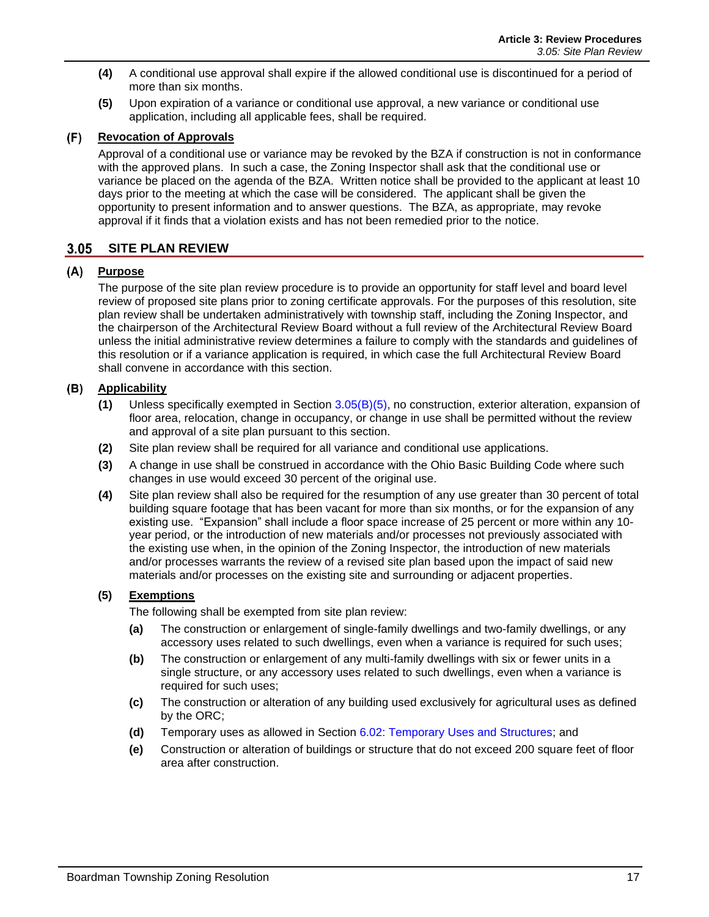- **(4)** A conditional use approval shall expire if the allowed conditional use is discontinued for a period of more than six months.
- **(5)** Upon expiration of a variance or conditional use approval, a new variance or conditional use application, including all applicable fees, shall be required.

#### **Revocation of Approvals**

Approval of a conditional use or variance may be revoked by the BZA if construction is not in conformance with the approved plans. In such a case, the Zoning Inspector shall ask that the conditional use or variance be placed on the agenda of the BZA. Written notice shall be provided to the applicant at least 10 days prior to the meeting at which the case will be considered. The applicant shall be given the opportunity to present information and to answer questions. The BZA, as appropriate, may revoke approval if it finds that a violation exists and has not been remedied prior to the notice.

# **SITE PLAN REVIEW**

### **Purpose**

The purpose of the site plan review procedure is to provide an opportunity for staff level and board level review of proposed site plans prior to zoning certificate approvals. For the purposes of this resolution, site plan review shall be undertaken administratively with township staff, including the Zoning Inspector, and the chairperson of the Architectural Review Board without a full review of the Architectural Review Board unless the initial administrative review determines a failure to comply with the standards and guidelines of this resolution or if a variance application is required, in which case the full Architectural Review Board shall convene in accordance with this section.

### <span id="page-8-1"></span>**Applicability**

- **(1)** Unless specifically exempted in Section [3.05\(B\)\(5\),](#page-8-0) no construction, exterior alteration, expansion of floor area, relocation, change in occupancy, or change in use shall be permitted without the review and approval of a site plan pursuant to this section.
- **(2)** Site plan review shall be required for all variance and conditional use applications.
- **(3)** A change in use shall be construed in accordance with the Ohio Basic Building Code where such changes in use would exceed 30 percent of the original use.
- **(4)** Site plan review shall also be required for the resumption of any use greater than 30 percent of total building square footage that has been vacant for more than six months, or for the expansion of any existing use. "Expansion" shall include a floor space increase of 25 percent or more within any 10 year period, or the introduction of new materials and/or processes not previously associated with the existing use when, in the opinion of the Zoning Inspector, the introduction of new materials and/or processes warrants the review of a revised site plan based upon the impact of said new materials and/or processes on the existing site and surrounding or adjacent properties.

#### <span id="page-8-0"></span>**(5) Exemptions**

The following shall be exempted from site plan review:

- **(a)** The construction or enlargement of single-family dwellings and two-family dwellings, or any accessory uses related to such dwellings, even when a variance is required for such uses;
- **(b)** The construction or enlargement of any multi-family dwellings with six or fewer units in a single structure, or any accessory uses related to such dwellings, even when a variance is required for such uses;
- **(c)** The construction or alteration of any building used exclusively for agricultural uses as defined by the ORC;
- **(d)** Temporary uses as allowed in Section 6.02: Temporary Uses and Structures; and
- **(e)** Construction or alteration of buildings or structure that do not exceed 200 square feet of floor area after construction.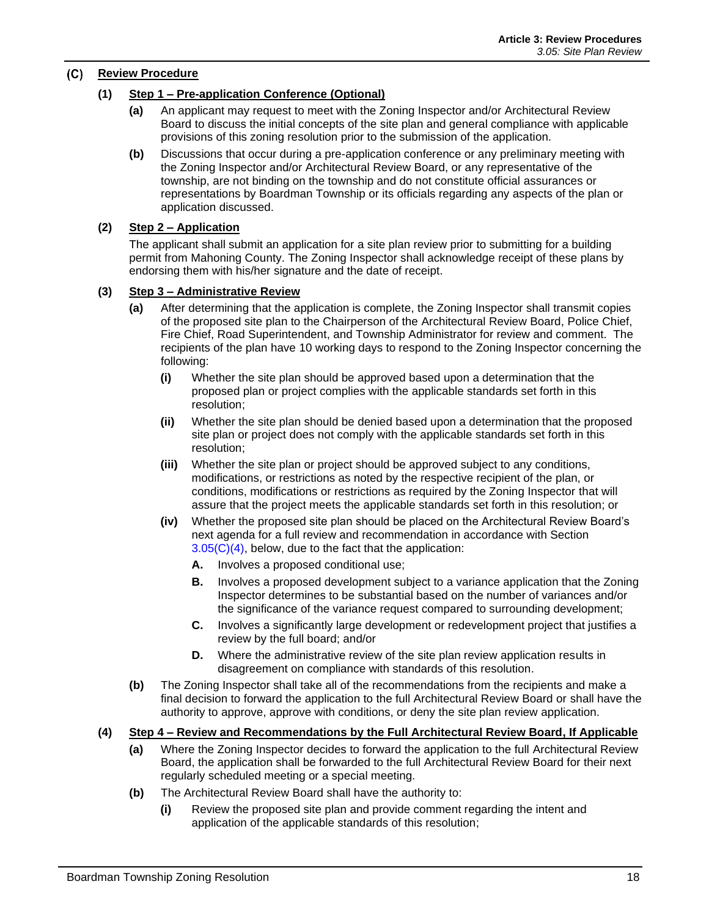#### **Review Procedure**

#### **(1) Step 1 – Pre-application Conference (Optional)**

- **(a)** An applicant may request to meet with the Zoning Inspector and/or Architectural Review Board to discuss the initial concepts of the site plan and general compliance with applicable provisions of this zoning resolution prior to the submission of the application.
- **(b)** Discussions that occur during a pre-application conference or any preliminary meeting with the Zoning Inspector and/or Architectural Review Board, or any representative of the township, are not binding on the township and do not constitute official assurances or representations by Boardman Township or its officials regarding any aspects of the plan or application discussed.

#### **(2) Step 2 – Application**

The applicant shall submit an application for a site plan review prior to submitting for a building permit from Mahoning County. The Zoning Inspector shall acknowledge receipt of these plans by endorsing them with his/her signature and the date of receipt.

#### <span id="page-9-1"></span>**(3) Step 3 – Administrative Review**

- **(a)** After determining that the application is complete, the Zoning Inspector shall transmit copies of the proposed site plan to the Chairperson of the Architectural Review Board, Police Chief, Fire Chief, Road Superintendent, and Township Administrator for review and comment. The recipients of the plan have 10 working days to respond to the Zoning Inspector concerning the following:
	- **(i)** Whether the site plan should be approved based upon a determination that the proposed plan or project complies with the applicable standards set forth in this resolution;
	- **(ii)** Whether the site plan should be denied based upon a determination that the proposed site plan or project does not comply with the applicable standards set forth in this resolution;
	- **(iii)** Whether the site plan or project should be approved subject to any conditions, modifications, or restrictions as noted by the respective recipient of the plan, or conditions, modifications or restrictions as required by the Zoning Inspector that will assure that the project meets the applicable standards set forth in this resolution; or
	- **(iv)** Whether the proposed site plan should be placed on the Architectural Review Board's next agenda for a full review and recommendation in accordance with Section  $3.05(C)(4)$ , below, due to the fact that the application:
		- **A.** Involves a proposed conditional use;
		- **B.** Involves a proposed development subject to a variance application that the Zoning Inspector determines to be substantial based on the number of variances and/or the significance of the variance request compared to surrounding development;
		- **C.** Involves a significantly large development or redevelopment project that justifies a review by the full board; and/or
		- **D.** Where the administrative review of the site plan review application results in disagreement on compliance with standards of this resolution.
- **(b)** The Zoning Inspector shall take all of the recommendations from the recipients and make a final decision to forward the application to the full Architectural Review Board or shall have the authority to approve, approve with conditions, or deny the site plan review application.
- <span id="page-9-0"></span>**(4) Step 4 – Review and Recommendations by the Full Architectural Review Board, If Applicable**
	- **(a)** Where the Zoning Inspector decides to forward the application to the full Architectural Review Board, the application shall be forwarded to the full Architectural Review Board for their next regularly scheduled meeting or a special meeting.
	- **(b)** The Architectural Review Board shall have the authority to:
		- **(i)** Review the proposed site plan and provide comment regarding the intent and application of the applicable standards of this resolution;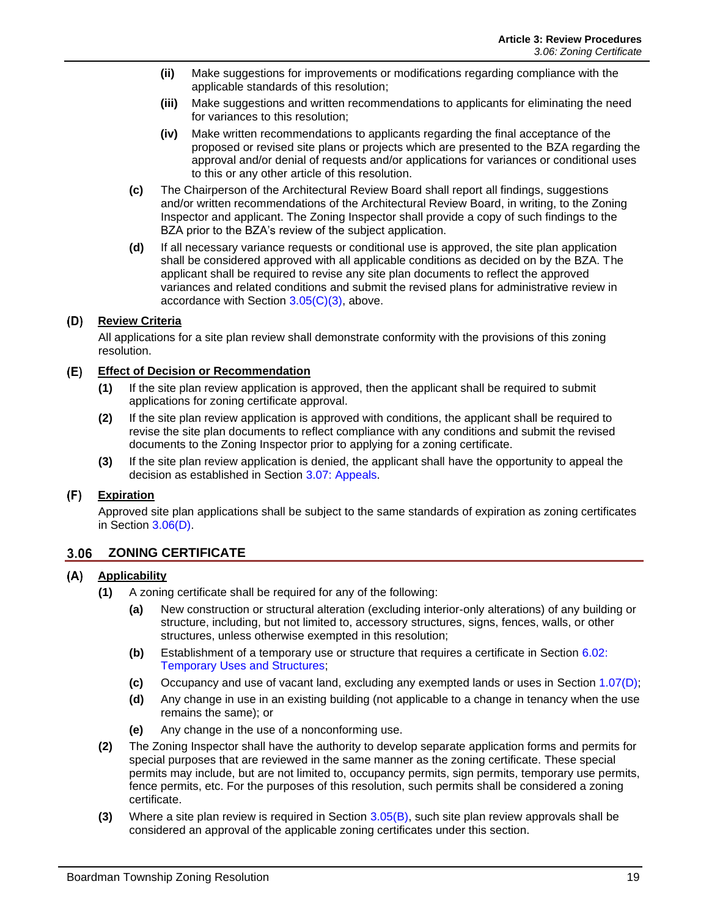- **(ii)** Make suggestions for improvements or modifications regarding compliance with the applicable standards of this resolution;
- **(iii)** Make suggestions and written recommendations to applicants for eliminating the need for variances to this resolution;
- **(iv)** Make written recommendations to applicants regarding the final acceptance of the proposed or revised site plans or projects which are presented to the BZA regarding the approval and/or denial of requests and/or applications for variances or conditional uses to this or any other article of this resolution.
- **(c)** The Chairperson of the Architectural Review Board shall report all findings, suggestions and/or written recommendations of the Architectural Review Board, in writing, to the Zoning Inspector and applicant. The Zoning Inspector shall provide a copy of such findings to the BZA prior to the BZA's review of the subject application.
- **(d)** If all necessary variance requests or conditional use is approved, the site plan application shall be considered approved with all applicable conditions as decided on by the BZA. The applicant shall be required to revise any site plan documents to reflect the approved variances and related conditions and submit the revised plans for administrative review in accordance with Section  $3.05(C)(3)$ , above.

### **Review Criteria**

All applications for a site plan review shall demonstrate conformity with the provisions of this zoning resolution.

### **Effect of Decision or Recommendation**

- **(1)** If the site plan review application is approved, then the applicant shall be required to submit applications for zoning certificate approval.
- **(2)** If the site plan review application is approved with conditions, the applicant shall be required to revise the site plan documents to reflect compliance with any conditions and submit the revised documents to the Zoning Inspector prior to applying for a zoning certificate.
- **(3)** If the site plan review application is denied, the applicant shall have the opportunity to appeal the decision as established in Section [3.07: Appeals.](#page-12-0)

#### $(F)$ **Expiration**

Approved site plan applications shall be subject to the same standards of expiration as zoning certificates in Section [3.06\(D\).](#page-11-0)

# **3.06 ZONING CERTIFICATE**

#### **Applicability**

- **(1)** A zoning certificate shall be required for any of the following:
	- **(a)** New construction or structural alteration (excluding interior-only alterations) of any building or structure, including, but not limited to, accessory structures, signs, fences, walls, or other structures, unless otherwise exempted in this resolution;
	- **(b)** Establishment of a temporary use or structure that requires a certificate in Section 6.02: Temporary Uses and Structures;
	- **(c)** Occupancy and use of vacant land, excluding any exempted lands or uses in Section 1.07(D);
	- **(d)** Any change in use in an existing building (not applicable to a change in tenancy when the use remains the same); or
	- **(e)** Any change in the use of a nonconforming use.
- **(2)** The Zoning Inspector shall have the authority to develop separate application forms and permits for special purposes that are reviewed in the same manner as the zoning certificate. These special permits may include, but are not limited to, occupancy permits, sign permits, temporary use permits, fence permits, etc. For the purposes of this resolution, such permits shall be considered a zoning certificate.
- **(3)** Where a site plan review is required in Section [3.05\(B\),](#page-8-1) such site plan review approvals shall be considered an approval of the applicable zoning certificates under this section.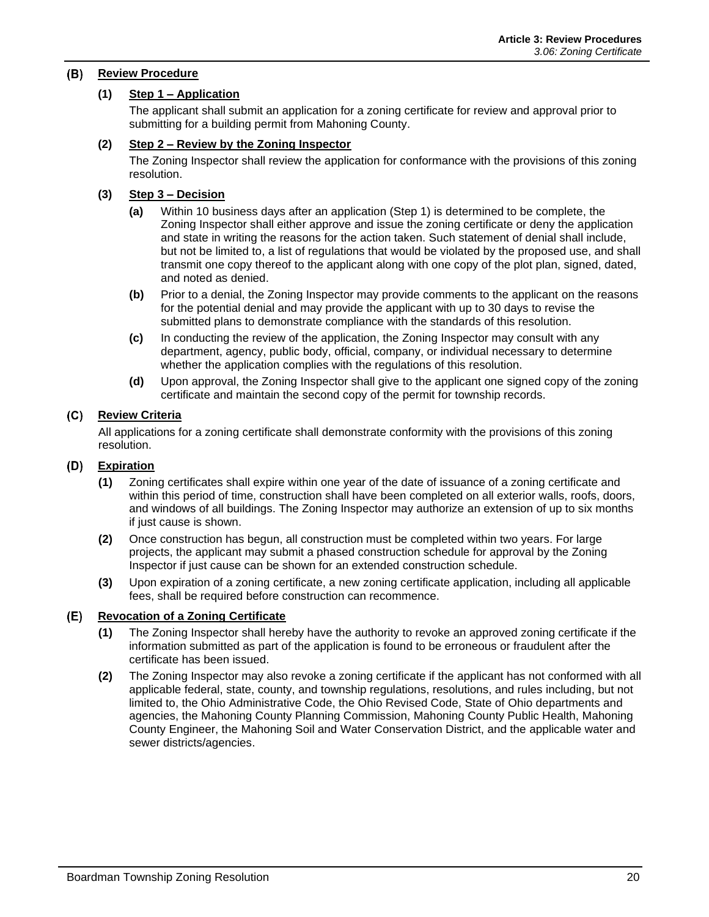#### **Review Procedure**

### **(1) Step 1 – Application**

The applicant shall submit an application for a zoning certificate for review and approval prior to submitting for a building permit from Mahoning County.

#### **(2) Step 2 – Review by the Zoning Inspector**

The Zoning Inspector shall review the application for conformance with the provisions of this zoning resolution.

#### **(3) Step 3 – Decision**

- **(a)** Within 10 business days after an application (Step 1) is determined to be complete, the Zoning Inspector shall either approve and issue the zoning certificate or deny the application and state in writing the reasons for the action taken. Such statement of denial shall include, but not be limited to, a list of regulations that would be violated by the proposed use, and shall transmit one copy thereof to the applicant along with one copy of the plot plan, signed, dated, and noted as denied.
- **(b)** Prior to a denial, the Zoning Inspector may provide comments to the applicant on the reasons for the potential denial and may provide the applicant with up to 30 days to revise the submitted plans to demonstrate compliance with the standards of this resolution.
- **(c)** In conducting the review of the application, the Zoning Inspector may consult with any department, agency, public body, official, company, or individual necessary to determine whether the application complies with the regulations of this resolution.
- **(d)** Upon approval, the Zoning Inspector shall give to the applicant one signed copy of the zoning certificate and maintain the second copy of the permit for township records.

#### **Review Criteria**

All applications for a zoning certificate shall demonstrate conformity with the provisions of this zoning resolution.

#### <span id="page-11-0"></span>**Expiration**

- **(1)** Zoning certificates shall expire within one year of the date of issuance of a zoning certificate and within this period of time, construction shall have been completed on all exterior walls, roofs, doors, and windows of all buildings. The Zoning Inspector may authorize an extension of up to six months if just cause is shown.
- **(2)** Once construction has begun, all construction must be completed within two years. For large projects, the applicant may submit a phased construction schedule for approval by the Zoning Inspector if just cause can be shown for an extended construction schedule.
- **(3)** Upon expiration of a zoning certificate, a new zoning certificate application, including all applicable fees, shall be required before construction can recommence.

#### **Revocation of a Zoning Certificate** (E)

- **(1)** The Zoning Inspector shall hereby have the authority to revoke an approved zoning certificate if the information submitted as part of the application is found to be erroneous or fraudulent after the certificate has been issued.
- **(2)** The Zoning Inspector may also revoke a zoning certificate if the applicant has not conformed with all applicable federal, state, county, and township regulations, resolutions, and rules including, but not limited to, the Ohio Administrative Code, the Ohio Revised Code, State of Ohio departments and agencies, the Mahoning County Planning Commission, Mahoning County Public Health, Mahoning County Engineer, the Mahoning Soil and Water Conservation District, and the applicable water and sewer districts/agencies.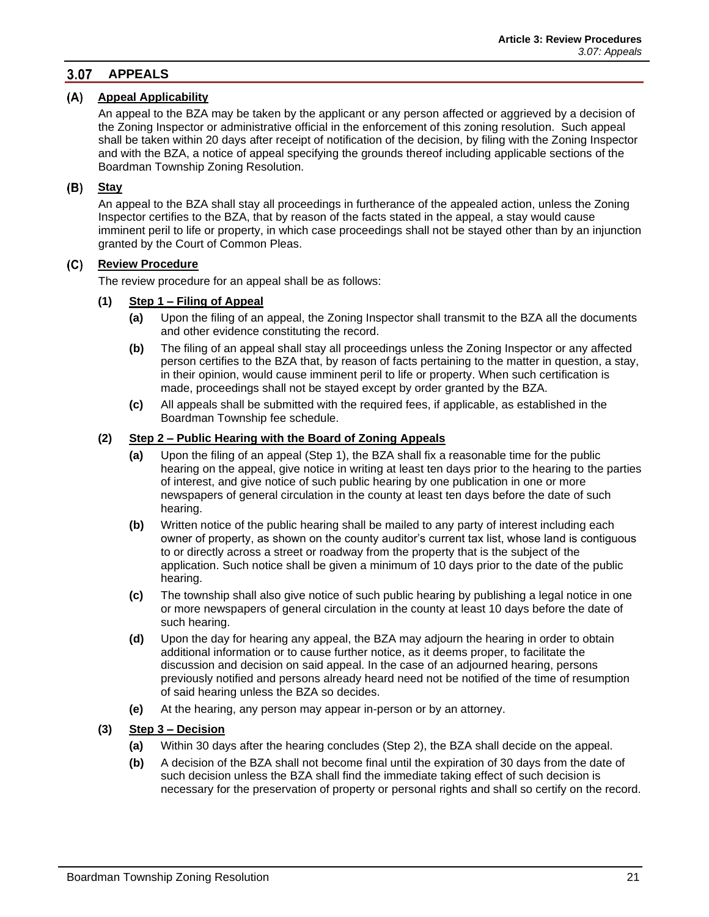#### <span id="page-12-0"></span> $3.07$ **APPEALS**

#### **Appeal Applicability**

An appeal to the BZA may be taken by the applicant or any person affected or aggrieved by a decision of the Zoning Inspector or administrative official in the enforcement of this zoning resolution. Such appeal shall be taken within 20 days after receipt of notification of the decision, by filing with the Zoning Inspector and with the BZA, a notice of appeal specifying the grounds thereof including applicable sections of the Boardman Township Zoning Resolution.

### **Stay**

An appeal to the BZA shall stay all proceedings in furtherance of the appealed action, unless the Zoning Inspector certifies to the BZA, that by reason of the facts stated in the appeal, a stay would cause imminent peril to life or property, in which case proceedings shall not be stayed other than by an injunction granted by the Court of Common Pleas.

#### **Review Procedure**  $(C)$

The review procedure for an appeal shall be as follows:

#### **(1) Step 1 – Filing of Appeal**

- **(a)** Upon the filing of an appeal, the Zoning Inspector shall transmit to the BZA all the documents and other evidence constituting the record.
- **(b)** The filing of an appeal shall stay all proceedings unless the Zoning Inspector or any affected person certifies to the BZA that, by reason of facts pertaining to the matter in question, a stay, in their opinion, would cause imminent peril to life or property. When such certification is made, proceedings shall not be stayed except by order granted by the BZA.
- **(c)** All appeals shall be submitted with the required fees, if applicable, as established in the Boardman Township fee schedule.

#### **(2) Step 2 – Public Hearing with the Board of Zoning Appeals**

- **(a)** Upon the filing of an appeal (Step 1), the BZA shall fix a reasonable time for the public hearing on the appeal, give notice in writing at least ten days prior to the hearing to the parties of interest, and give notice of such public hearing by one publication in one or more newspapers of general circulation in the county at least ten days before the date of such hearing.
- **(b)** Written notice of the public hearing shall be mailed to any party of interest including each owner of property, as shown on the county auditor's current tax list, whose land is contiguous to or directly across a street or roadway from the property that is the subject of the application. Such notice shall be given a minimum of 10 days prior to the date of the public hearing.
- **(c)** The township shall also give notice of such public hearing by publishing a legal notice in one or more newspapers of general circulation in the county at least 10 days before the date of such hearing.
- **(d)** Upon the day for hearing any appeal, the BZA may adjourn the hearing in order to obtain additional information or to cause further notice, as it deems proper, to facilitate the discussion and decision on said appeal. In the case of an adjourned hearing, persons previously notified and persons already heard need not be notified of the time of resumption of said hearing unless the BZA so decides.
- **(e)** At the hearing, any person may appear in-person or by an attorney.

#### **(3) Step 3 – Decision**

- **(a)** Within 30 days after the hearing concludes (Step 2), the BZA shall decide on the appeal.
- **(b)** A decision of the BZA shall not become final until the expiration of 30 days from the date of such decision unless the BZA shall find the immediate taking effect of such decision is necessary for the preservation of property or personal rights and shall so certify on the record.